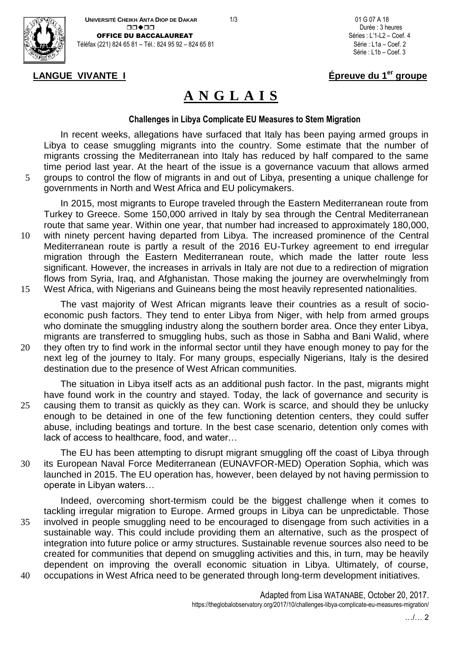



Série : L1b – Coef. 3

# **LANGUE VIVANTE I Épreuve du 1er groupe**

# **A N G L A I S**

### **Challenges in Libya Complicate EU Measures to Stem Migration**

In recent weeks, allegations have surfaced that Italy has been paying armed groups in Libya to cease smuggling migrants into the country. Some estimate that the number of migrants crossing the Mediterranean into Italy has reduced by half compared to the same time period last year. At the heart of the issue is a governance vacuum that allows armed 5 groups to control the flow of migrants in and out of Libya, presenting a unique challenge for

governments in North and West Africa and EU policymakers.

In 2015, most migrants to Europe traveled through the Eastern Mediterranean route from Turkey to Greece. Some 150,000 arrived in Italy by sea through the Central Mediterranean route that same year. Within one year, that number had increased to approximately 180,000, 10 with ninety percent having departed from Libya. The increased prominence of the Central Mediterranean route is partly a result of the 2016 EU-Turkey agreement to end irregular migration through the Eastern Mediterranean route, which made the latter route less significant. However, the increases in arrivals in Italy are not due to a redirection of migration flows from Syria, Iraq, and Afghanistan. Those making the journey are overwhelmingly from 15 West Africa, with Nigerians and Guineans being the most heavily represented nationalities.

The vast majority of West African migrants leave their countries as a result of socioeconomic push factors. They tend to enter Libya from Niger, with help from armed groups who dominate the smuggling industry along the southern border area. Once they enter Libya, migrants are transferred to smuggling hubs, such as those in Sabha and Bani Walid, where

20 they often try to find work in the informal sector until they have enough money to pay for the next leg of the journey to Italy. For many groups, especially Nigerians, Italy is the desired destination due to the presence of West African communities.

The situation in Libya itself acts as an additional push factor. In the past, migrants might have found work in the country and stayed. Today, the lack of governance and security is 25 causing them to transit as quickly as they can. Work is scarce, and should they be unlucky enough to be detained in one of the few functioning detention centers, they could suffer abuse, including beatings and torture. In the best case scenario, detention only comes with lack of access to healthcare, food, and water…

The EU has been attempting to disrupt migrant smuggling off the coast of Libya through 30 its European Naval Force Mediterranean (EUNAVFOR-MED) Operation Sophia, which was launched in 2015. The EU operation has, however, been delayed by not having permission to operate in Libyan waters…

Indeed, overcoming short-termism could be the biggest challenge when it comes to tackling irregular migration to Europe. Armed groups in Libya can be unpredictable. Those 35 involved in people smuggling need to be encouraged to disengage from such activities in a sustainable way. This could include providing them an alternative, such as the prospect of integration into future police or army structures. Sustainable revenue sources also need to be created for communities that depend on smuggling activities and this, in turn, may be heavily dependent on improving the overall economic situation in Libya. Ultimately, of course, 40 occupations in West Africa need to be generated through long-term development initiatives.

> Adapted from Lisa WATANABE, October 20, 2017. https://theglobalobservatory.org/2017/10/challenges-libya-complicate-eu-measures-migration/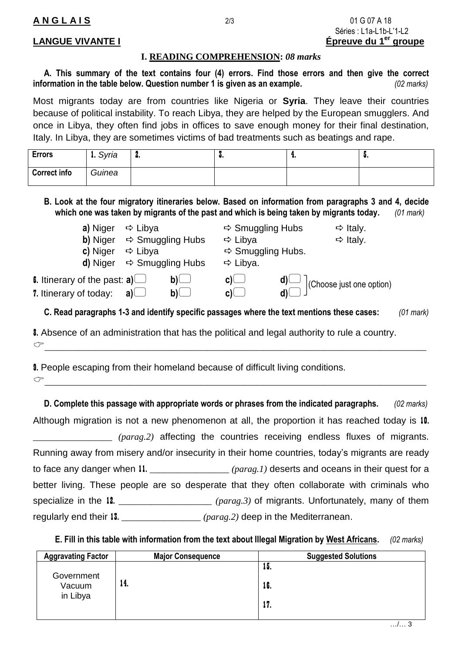### **I. READING COMPREHENSION:** *08 marks*

**A. This summary of the text contains four (4) errors. Find those errors and then give the correct information in the table below. Question number 1 is given as an example.** *(02 marks)*

Most migrants today are from countries like Nigeria or **Syria**. They leave their countries because of political instability. To reach Libya, they are helped by the European smugglers. And once in Libya, they often find jobs in offices to save enough money for their final destination, Italy. In Libya, they are sometimes victims of bad treatments such as beatings and rape.

| <b>Errors</b>       | 1. Syria | а. | <br>ш. |  |
|---------------------|----------|----|--------|--|
| <b>Correct info</b> | Guinea   |    |        |  |

**B. Look at the four migratory itineraries below. Based on information from paragraphs 3 and 4, decide which one was taken by migrants of the past and which is being taken by migrants today.** *(01 mark)*

| a) Niger                                    | $\Rightarrow$ Libya                 | $\Rightarrow$ Smuggling Hubs  | $\Rightarrow$ Italy.     |
|---------------------------------------------|-------------------------------------|-------------------------------|--------------------------|
| b) Niger                                    | $\Rightarrow$ Smuggling Hubs        | $\Rightarrow$ Libya           | $\Rightarrow$ Italy.     |
| c) Niger                                    | $\Rightarrow$ Libya                 | $\Rightarrow$ Smuggling Hubs. |                          |
| d) Niger                                    | $\Rightarrow$ Smuggling Hubs        | $\Rightarrow$ Libya.          |                          |
| 6. Itinerary of the past: <b>a</b> ) $\Box$ | $\mathsf{b}\mathsf{D}$              | $\mathsf{C}$ ) $\sqcup$       | (Choose just one option) |
| 7. Itinerary of today:                      | $\mathsf{b}\mathsf{L}$<br>a) $\Box$ | $c \cup$                      |                          |
|                                             | .<br>$\overline{\phantom{a}}$       | .                             |                          |

**C. Read paragraphs 1-3 and identify specific passages where the text mentions these cases:** *(01 mark)*

8. Absence of an administration that has the political and legal authority to rule a country.

9. People escaping from their homeland because of difficult living conditions.  $\mathcal{F}$  , we are the set of the set of the set of the set of the set of the set of the set of the set of the set of the set of the set of the set of the set of the set of the set of the set of the set of the set of the s

 $\sigma$  and the contract of the contract of the contract of the contract of the contract of the contract of the contract of the contract of the contract of the contract of the contract of the contract of the contract of the

**D. Complete this passage with appropriate words or phrases from the indicated paragraphs.** *(02 marks)* Although migration is not a new phenomenon at all, the proportion it has reached today is 10. \_\_\_\_\_\_\_\_\_\_\_\_\_\_\_\_\_ *(parag.2)* affecting the countries receiving endless fluxes of migrants. Running away from misery and/or insecurity in their home countries, today's migrants are ready to face any danger when 11. \_\_\_\_\_\_\_\_\_\_\_\_\_\_\_\_\_ *(parag.1)* deserts and oceans in their quest for a better living. These people are so desperate that they often collaborate with criminals who specialize in the 12. \_\_\_\_\_\_\_\_\_\_\_\_\_\_\_\_\_\_\_\_ *(parag.3)* of migrants. Unfortunately, many of them regularly end their 13. \_\_\_\_\_\_\_\_\_\_\_\_\_\_\_\_\_ *(parag.2)* deep in the Mediterranean.

**E. Fill in this table with information from the text about Illegal Migration by West Africans.** *(02 marks)*

| <b>Aggravating Factor</b>        | <b>Major Consequence</b> | <b>Suggested Solutions</b> |
|----------------------------------|--------------------------|----------------------------|
| Government<br>Vacuum<br>in Libya |                          | 15.                        |
|                                  | 14.                      | 16.                        |
|                                  |                          | 17.                        |